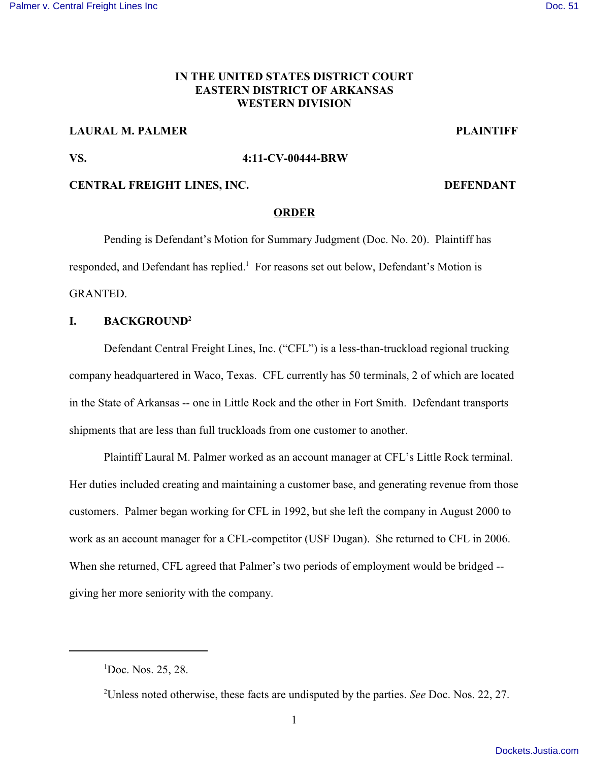## **IN THE UNITED STATES DISTRICT COURT EASTERN DISTRICT OF ARKANSAS WESTERN DIVISION**

## **LAURAL M. PALMER PLAINTIFF**

#### **VS. 4:11-CV-00444-BRW**

### **CENTRAL FREIGHT LINES, INC. DEFENDANT**

#### **ORDER**

Pending is Defendant's Motion for Summary Judgment (Doc. No. 20). Plaintiff has responded, and Defendant has replied.<sup>1</sup> For reasons set out below, Defendant's Motion is GRANTED.

### **I. BACKGROUND<sup>2</sup>**

Defendant Central Freight Lines, Inc. ("CFL") is a less-than-truckload regional trucking company headquartered in Waco, Texas. CFL currently has 50 terminals, 2 of which are located in the State of Arkansas -- one in Little Rock and the other in Fort Smith. Defendant transports shipments that are less than full truckloads from one customer to another.

Plaintiff Laural M. Palmer worked as an account manager at CFL's Little Rock terminal. Her duties included creating and maintaining a customer base, and generating revenue from those customers. Palmer began working for CFL in 1992, but she left the company in August 2000 to work as an account manager for a CFL-competitor (USF Dugan). She returned to CFL in 2006. When she returned, CFL agreed that Palmer's two periods of employment would be bridged - giving her more seniority with the company.

 ${}^{1}$ Doc. Nos. 25, 28.

Unless noted otherwise, these facts are undisputed by the parties. *See* Doc. Nos. 22, 27. <sup>2</sup>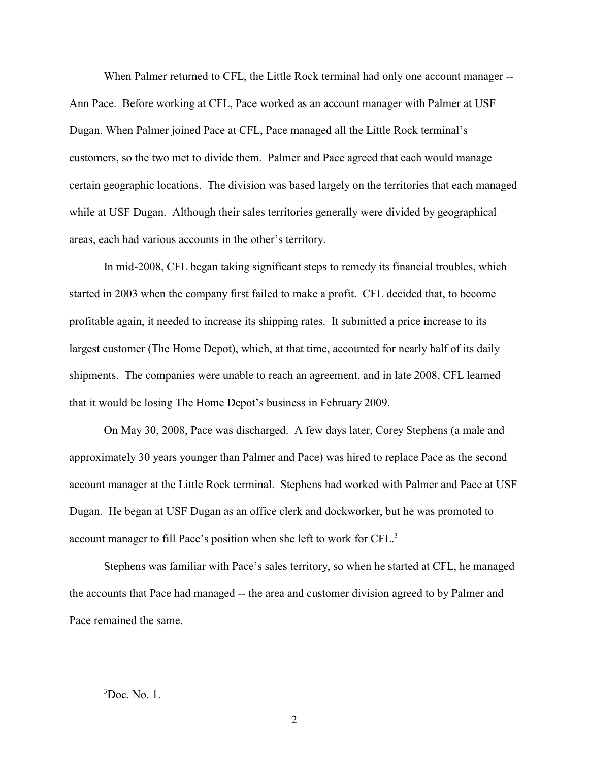When Palmer returned to CFL, the Little Rock terminal had only one account manager -- Ann Pace. Before working at CFL, Pace worked as an account manager with Palmer at USF Dugan. When Palmer joined Pace at CFL, Pace managed all the Little Rock terminal's customers, so the two met to divide them. Palmer and Pace agreed that each would manage certain geographic locations. The division was based largely on the territories that each managed while at USF Dugan. Although their sales territories generally were divided by geographical areas, each had various accounts in the other's territory.

In mid-2008, CFL began taking significant steps to remedy its financial troubles, which started in 2003 when the company first failed to make a profit. CFL decided that, to become profitable again, it needed to increase its shipping rates. It submitted a price increase to its largest customer (The Home Depot), which, at that time, accounted for nearly half of its daily shipments. The companies were unable to reach an agreement, and in late 2008, CFL learned that it would be losing The Home Depot's business in February 2009.

On May 30, 2008, Pace was discharged. A few days later, Corey Stephens (a male and approximately 30 years younger than Palmer and Pace) was hired to replace Pace as the second account manager at the Little Rock terminal. Stephens had worked with Palmer and Pace at USF Dugan. He began at USF Dugan as an office clerk and dockworker, but he was promoted to account manager to fill Pace's position when she left to work for CFL. 3

Stephens was familiar with Pace's sales territory, so when he started at CFL, he managed the accounts that Pace had managed -- the area and customer division agreed to by Palmer and Pace remained the same.

 $3$ Doc. No. 1.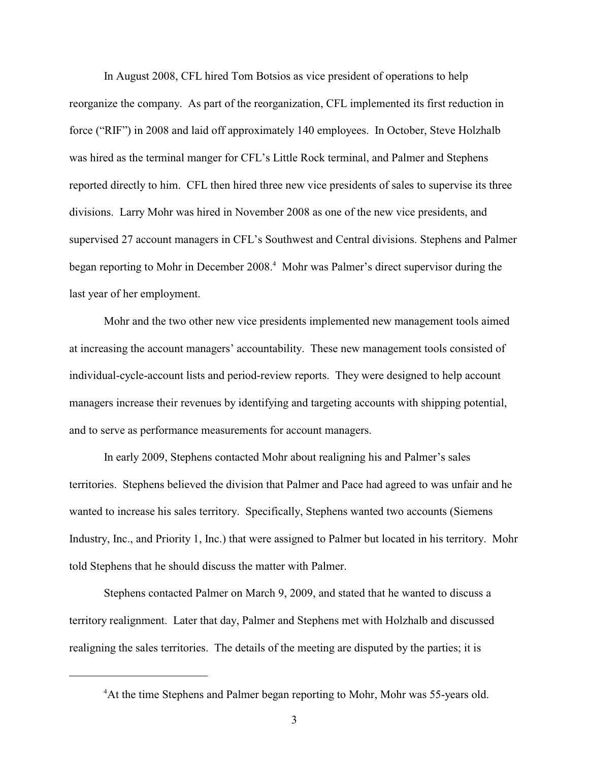In August 2008, CFL hired Tom Botsios as vice president of operations to help reorganize the company. As part of the reorganization, CFL implemented its first reduction in force ("RIF") in 2008 and laid off approximately 140 employees. In October, Steve Holzhalb was hired as the terminal manger for CFL's Little Rock terminal, and Palmer and Stephens reported directly to him. CFL then hired three new vice presidents of sales to supervise its three divisions. Larry Mohr was hired in November 2008 as one of the new vice presidents, and supervised 27 account managers in CFL's Southwest and Central divisions. Stephens and Palmer began reporting to Mohr in December 2008.<sup>4</sup> Mohr was Palmer's direct supervisor during the last year of her employment.

Mohr and the two other new vice presidents implemented new management tools aimed at increasing the account managers' accountability. These new management tools consisted of individual-cycle-account lists and period-review reports. They were designed to help account managers increase their revenues by identifying and targeting accounts with shipping potential, and to serve as performance measurements for account managers.

In early 2009, Stephens contacted Mohr about realigning his and Palmer's sales territories. Stephens believed the division that Palmer and Pace had agreed to was unfair and he wanted to increase his sales territory. Specifically, Stephens wanted two accounts (Siemens Industry, Inc., and Priority 1, Inc.) that were assigned to Palmer but located in his territory. Mohr told Stephens that he should discuss the matter with Palmer.

Stephens contacted Palmer on March 9, 2009, and stated that he wanted to discuss a territory realignment. Later that day, Palmer and Stephens met with Holzhalb and discussed realigning the sales territories. The details of the meeting are disputed by the parties; it is

<sup>&</sup>lt;sup>4</sup>At the time Stephens and Palmer began reporting to Mohr, Mohr was 55-years old.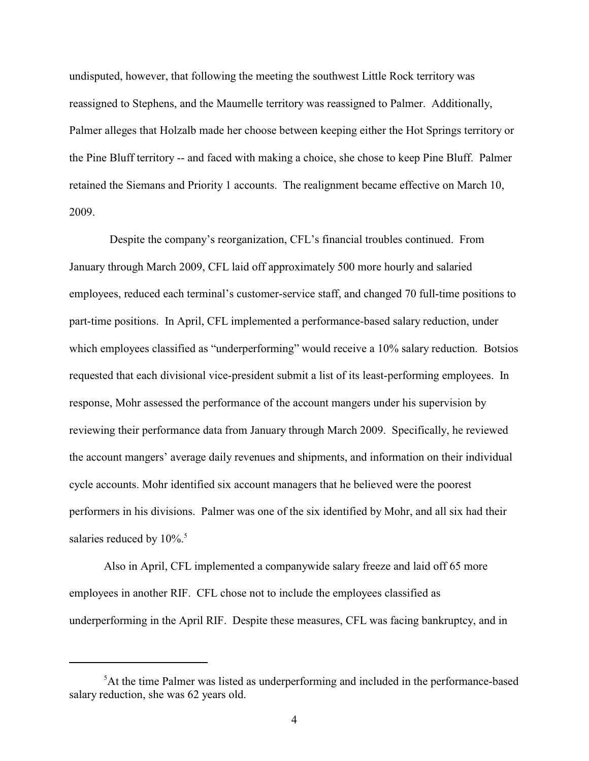undisputed, however, that following the meeting the southwest Little Rock territory was reassigned to Stephens, and the Maumelle territory was reassigned to Palmer. Additionally, Palmer alleges that Holzalb made her choose between keeping either the Hot Springs territory or the Pine Bluff territory -- and faced with making a choice, she chose to keep Pine Bluff. Palmer retained the Siemans and Priority 1 accounts. The realignment became effective on March 10, 2009.

 Despite the company's reorganization, CFL's financial troubles continued. From January through March 2009, CFL laid off approximately 500 more hourly and salaried employees, reduced each terminal's customer-service staff, and changed 70 full-time positions to part-time positions. In April, CFL implemented a performance-based salary reduction, under which employees classified as "underperforming" would receive a 10% salary reduction. Botsios requested that each divisional vice-president submit a list of its least-performing employees. In response, Mohr assessed the performance of the account mangers under his supervision by reviewing their performance data from January through March 2009. Specifically, he reviewed the account mangers' average daily revenues and shipments, and information on their individual cycle accounts. Mohr identified six account managers that he believed were the poorest performers in his divisions. Palmer was one of the six identified by Mohr, and all six had their salaries reduced by  $10\%$ .<sup>5</sup>

Also in April, CFL implemented a companywide salary freeze and laid off 65 more employees in another RIF. CFL chose not to include the employees classified as underperforming in the April RIF. Despite these measures, CFL was facing bankruptcy, and in

 ${}^{5}$ At the time Palmer was listed as underperforming and included in the performance-based salary reduction, she was 62 years old.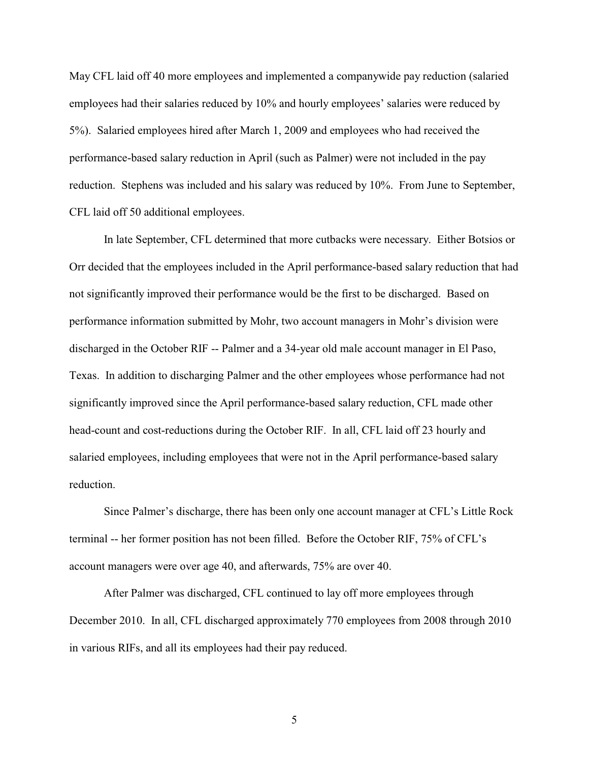May CFL laid off 40 more employees and implemented a companywide pay reduction (salaried employees had their salaries reduced by 10% and hourly employees' salaries were reduced by 5%). Salaried employees hired after March 1, 2009 and employees who had received the performance-based salary reduction in April (such as Palmer) were not included in the pay reduction. Stephens was included and his salary was reduced by 10%. From June to September, CFL laid off 50 additional employees.

In late September, CFL determined that more cutbacks were necessary. Either Botsios or Orr decided that the employees included in the April performance-based salary reduction that had not significantly improved their performance would be the first to be discharged. Based on performance information submitted by Mohr, two account managers in Mohr's division were discharged in the October RIF -- Palmer and a 34-year old male account manager in El Paso, Texas. In addition to discharging Palmer and the other employees whose performance had not significantly improved since the April performance-based salary reduction, CFL made other head-count and cost-reductions during the October RIF. In all, CFL laid off 23 hourly and salaried employees, including employees that were not in the April performance-based salary reduction.

Since Palmer's discharge, there has been only one account manager at CFL's Little Rock terminal -- her former position has not been filled. Before the October RIF, 75% of CFL's account managers were over age 40, and afterwards, 75% are over 40.

After Palmer was discharged, CFL continued to lay off more employees through December 2010. In all, CFL discharged approximately 770 employees from 2008 through 2010 in various RIFs, and all its employees had their pay reduced.

5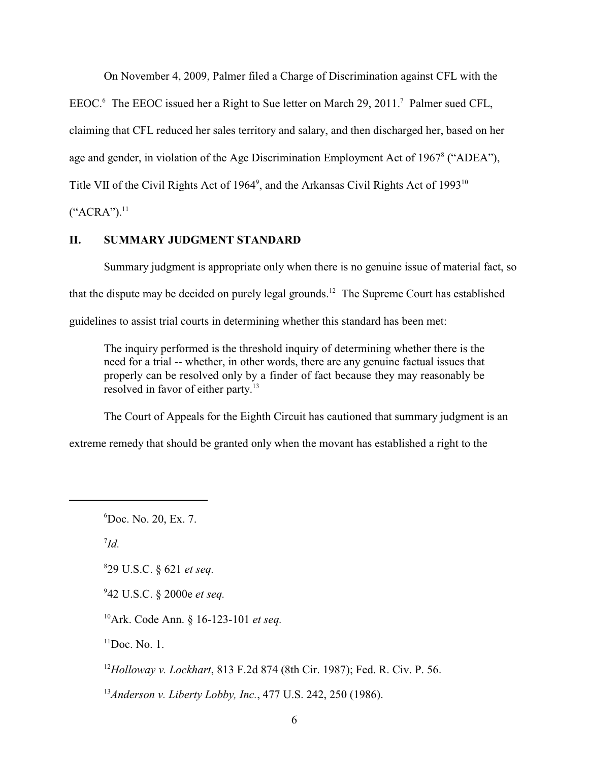On November 4, 2009, Palmer filed a Charge of Discrimination against CFL with the

EEOC. $6$  The EEOC issued her a Right to Sue letter on March 29, 2011.<sup>7</sup> Palmer sued CFL,

claiming that CFL reduced her sales territory and salary, and then discharged her, based on her

age and gender, in violation of the Age Discrimination Employment Act of 1967<sup>8</sup> ("ADEA"),

Title VII of the Civil Rights Act of 1964<sup>9</sup>, and the Arkansas Civil Rights Act of 1993<sup>10</sup>

 $("ACRA")$ .<sup>11</sup>

## **II. SUMMARY JUDGMENT STANDARD**

Summary judgment is appropriate only when there is no genuine issue of material fact, so that the dispute may be decided on purely legal grounds.<sup>12</sup> The Supreme Court has established guidelines to assist trial courts in determining whether this standard has been met:

The inquiry performed is the threshold inquiry of determining whether there is the need for a trial -- whether, in other words, there are any genuine factual issues that properly can be resolved only by a finder of fact because they may reasonably be resolved in favor of either party.<sup>13</sup>

The Court of Appeals for the Eighth Circuit has cautioned that summary judgment is an

extreme remedy that should be granted only when the movant has established a right to the

Doc. No. 20, Ex. 7. <sup>6</sup>

 $^{7}Id.$ 

29 U.S.C. § 621 *et seq.* <sup>8</sup>

42 U.S.C. § 2000e *et seq.* <sup>9</sup>

<sup>10</sup>Ark. Code Ann. § 16-123-101 *et seq.* 

 $<sup>11</sup>$ Doc. No. 1.</sup>

*Holloway v. Lockhart*, 813 F.2d 874 (8th Cir. 1987); Fed. R. Civ. P. 56. <sup>12</sup>

<sup>13</sup> Anderson v. Liberty Lobby, Inc., 477 U.S. 242, 250 (1986).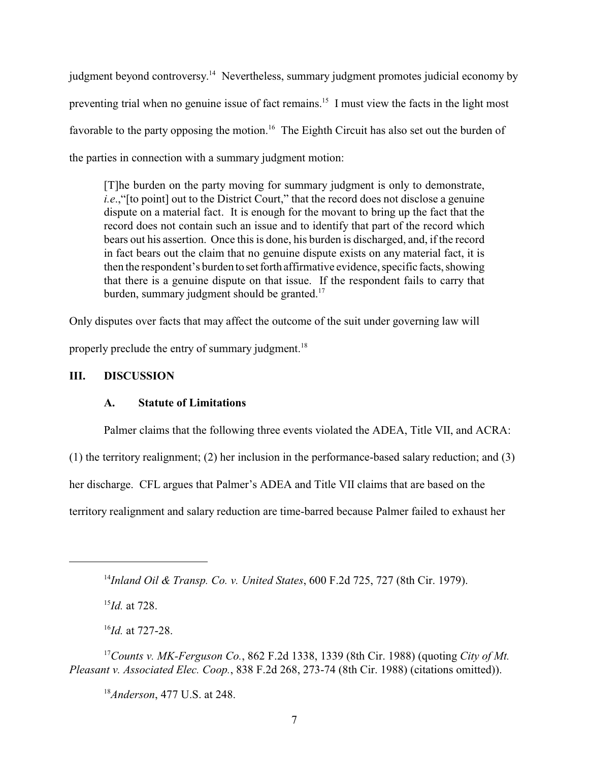judgment beyond controversy.<sup>14</sup> Nevertheless, summary judgment promotes judicial economy by preventing trial when no genuine issue of fact remains.<sup>15</sup> I must view the facts in the light most favorable to the party opposing the motion.<sup>16</sup> The Eighth Circuit has also set out the burden of the parties in connection with a summary judgment motion:

[T]he burden on the party moving for summary judgment is only to demonstrate, *i.e.*, "[to point] out to the District Court," that the record does not disclose a genuine dispute on a material fact. It is enough for the movant to bring up the fact that the record does not contain such an issue and to identify that part of the record which bears out his assertion. Once this is done, his burden is discharged, and, if the record in fact bears out the claim that no genuine dispute exists on any material fact, it is then the respondent's burden to set forth affirmative evidence, specific facts, showing that there is a genuine dispute on that issue. If the respondent fails to carry that burden, summary judgment should be granted.<sup>17</sup>

Only disputes over facts that may affect the outcome of the suit under governing law will

properly preclude the entry of summary judgment.<sup>18</sup>

# **III. DISCUSSION**

### **A. Statute of Limitations**

Palmer claims that the following three events violated the ADEA, Title VII, and ACRA:

(1) the territory realignment; (2) her inclusion in the performance-based salary reduction; and (3)

her discharge. CFL argues that Palmer's ADEA and Title VII claims that are based on the

territory realignment and salary reduction are time-barred because Palmer failed to exhaust her

 $^{15}$ *Id.* at 728.

<sup>16</sup>*Id.* at 727-28.

*Counts v. MK-Ferguson Co.*, 862 F.2d 1338, 1339 (8th Cir. 1988) (quoting *City of Mt.* <sup>17</sup> *Pleasant v. Associated Elec. Coop.*, 838 F.2d 268, 273-74 (8th Cir. 1988) (citations omitted)).

<sup>18</sup> *Anderson*, 477 U.S. at 248.

*Inland Oil & Transp. Co. v. United States*, 600 F.2d 725, 727 (8th Cir. 1979). <sup>14</sup>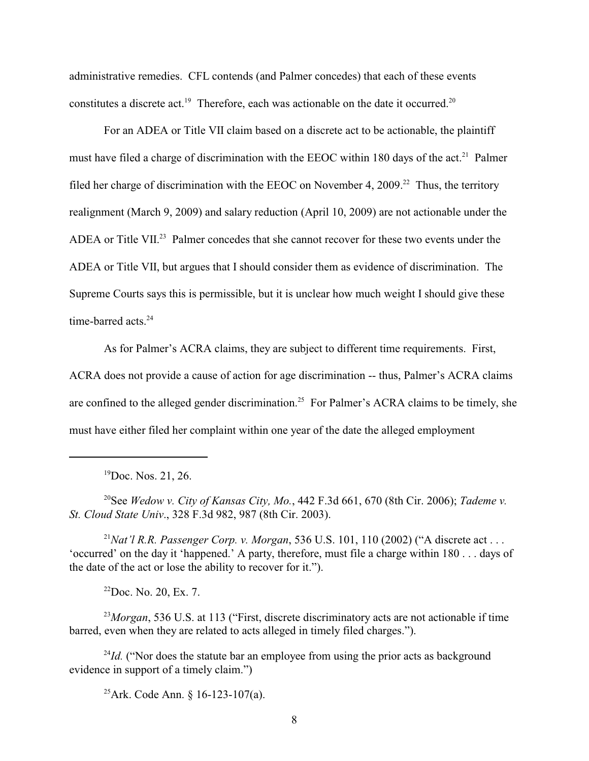administrative remedies. CFL contends (and Palmer concedes) that each of these events constitutes a discrete act.<sup>19</sup> Therefore, each was actionable on the date it occurred.<sup>20</sup>

For an ADEA or Title VII claim based on a discrete act to be actionable, the plaintiff must have filed a charge of discrimination with the EEOC within 180 days of the act.<sup>21</sup> Palmer filed her charge of discrimination with the EEOC on November 4, 2009.<sup>22</sup> Thus, the territory realignment (March 9, 2009) and salary reduction (April 10, 2009) are not actionable under the ADEA or Title VII.<sup>23</sup> Palmer concedes that she cannot recover for these two events under the ADEA or Title VII, but argues that I should consider them as evidence of discrimination. The Supreme Courts says this is permissible, but it is unclear how much weight I should give these time-barred acts.<sup>24</sup>

As for Palmer's ACRA claims, they are subject to different time requirements. First, ACRA does not provide a cause of action for age discrimination -- thus, Palmer's ACRA claims are confined to the alleged gender discrimination.<sup>25</sup> For Palmer's ACRA claims to be timely, she must have either filed her complaint within one year of the date the alleged employment

 $^{19}$ Doc. Nos. 21, 26.

See *Wedow v. City of Kansas City, Mo.*, 442 F.3d 661, 670 (8th Cir. 2006); *Tademe v.* 20 *St. Cloud State Univ*., 328 F.3d 982, 987 (8th Cir. 2003).

<sup>21</sup>Nat'l R.R. Passenger Corp. v. Morgan, 536 U.S. 101, 110 (2002) ("A discrete act . . . 'occurred' on the day it 'happened.' A party, therefore, must file a charge within 180 . . . days of the date of the act or lose the ability to recover for it.").

 $22$ Doc. No. 20, Ex. 7.

<sup>23</sup>Morgan, 536 U.S. at 113 ("First, discrete discriminatory acts are not actionable if time barred, even when they are related to acts alleged in timely filed charges.").

 $I<sup>24</sup>Id$ . ("Nor does the statute bar an employee from using the prior acts as background evidence in support of a timely claim.")

<sup>25</sup>Ark. Code Ann. § 16-123-107(a).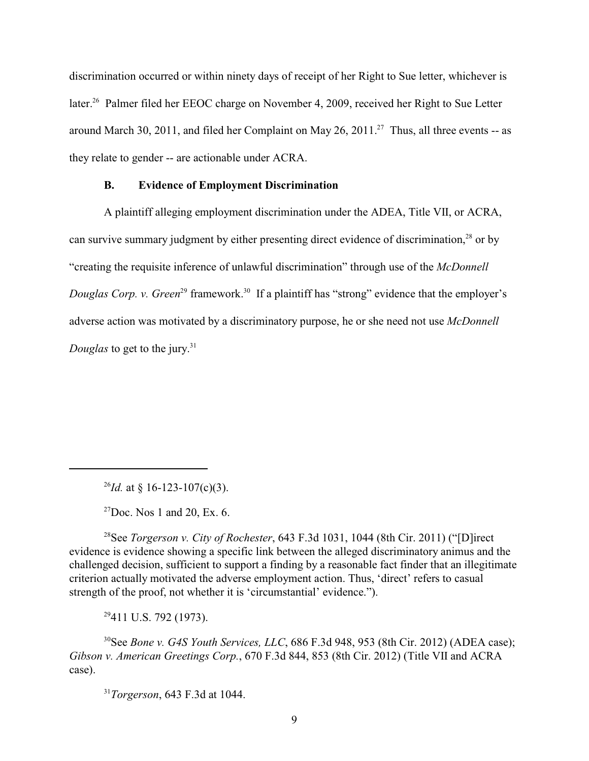discrimination occurred or within ninety days of receipt of her Right to Sue letter, whichever is later.<sup>26</sup> Palmer filed her EEOC charge on November 4, 2009, received her Right to Sue Letter around March 30, 2011, and filed her Complaint on May 26, 2011.<sup>27</sup> Thus, all three events -- as they relate to gender -- are actionable under ACRA.

#### **B. Evidence of Employment Discrimination**

A plaintiff alleging employment discrimination under the ADEA, Title VII, or ACRA, can survive summary judgment by either presenting direct evidence of discrimination, $^{28}$  or by "creating the requisite inference of unlawful discrimination" through use of the *McDonnell Douglas Corp. v. Green*<sup>29</sup> framework.<sup>30</sup> If a plaintiff has "strong" evidence that the employer's adverse action was motivated by a discriminatory purpose, he or she need not use *McDonnell Douglas* to get to the jury.<sup>31</sup>

 $^{26}$ *Id.* at § 16-123-107(c)(3).

 $^{27}$ Doc. Nos 1 and 20, Ex. 6.

<sup>28</sup> See *Torgerson v. City of Rochester*, 643 F.3d 1031, 1044 (8th Cir. 2011) ("[D]irect evidence is evidence showing a specific link between the alleged discriminatory animus and the challenged decision, sufficient to support a finding by a reasonable fact finder that an illegitimate criterion actually motivated the adverse employment action. Thus, 'direct' refers to casual strength of the proof, not whether it is 'circumstantial' evidence.").

 $29411$  U.S. 792 (1973).

<sup>30</sup> See *Bone v. G4S Youth Services, LLC*, 686 F.3d 948, 953 (8th Cir. 2012) (ADEA case); *Gibson v. American Greetings Corp.*, 670 F.3d 844, 853 (8th Cir. 2012) (Title VII and ACRA case).

<sup>31</sup>Torgerson, 643 F.3d at 1044.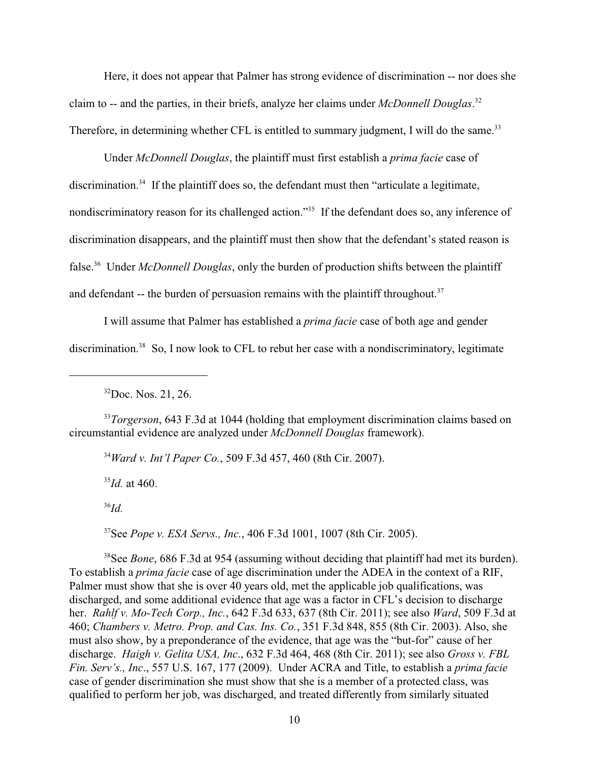Here, it does not appear that Palmer has strong evidence of discrimination -- nor does she claim to -- and the parties, in their briefs, analyze her claims under *McDonnell Douglas*. 32 Therefore, in determining whether CFL is entitled to summary judgment, I will do the same.<sup>33</sup>

Under *McDonnell Douglas*, the plaintiff must first establish a *prima facie* case of discrimination.<sup>34</sup> If the plaintiff does so, the defendant must then "articulate a legitimate, nondiscriminatory reason for its challenged action."<sup>35</sup> If the defendant does so, any inference of discrimination disappears, and the plaintiff must then show that the defendant's stated reason is false.<sup>36</sup> Under *McDonnell Douglas*, only the burden of production shifts between the plaintiff and defendant -- the burden of persuasion remains with the plaintiff throughout.<sup>37</sup>

I will assume that Palmer has established a *prima facie* case of both age and gender discrimination.<sup>38</sup> So, I now look to CFL to rebut her case with a nondiscriminatory, legitimate

<sup>33</sup>Torgerson, 643 F.3d at 1044 (holding that employment discrimination claims based on circumstantial evidence are analyzed under *McDonnell Douglas* framework).

<sup>34</sup> Ward v. Int'l Paper Co., 509 F.3d 457, 460 (8th Cir. 2007).

 $^{35}$ *Id.* at 460.

 $^{36}Id.$ 

See *Pope v. ESA Servs., Inc.*, 406 F.3d 1001, 1007 (8th Cir. 2005). <sup>37</sup>

<sup>38</sup>See *Bone*, 686 F.3d at 954 (assuming without deciding that plaintiff had met its burden). To establish a *prima facie* case of age discrimination under the ADEA in the context of a RIF, Palmer must show that she is over 40 years old, met the applicable job qualifications, was discharged, and some additional evidence that age was a factor in CFL's decision to discharge her. *Rahlf v. Mo-Tech Corp., Inc.*, 642 F.3d 633, 637 (8th Cir. 2011); see also *Ward*, 509 F.3d at 460; *Chambers v. Metro. Prop. and Cas. Ins. Co.*, 351 F.3d 848, 855 (8th Cir. 2003). Also, she must also show, by a preponderance of the evidence, that age was the "but-for" cause of her discharge. *Haigh v. Gelita USA, Inc*., 632 F.3d 464, 468 (8th Cir. 2011); see also *Gross v. FBL Fin. Serv's., Inc*., 557 U.S. 167, 177 (2009). Under ACRA and Title, to establish a *prima facie* case of gender discrimination she must show that she is a member of a protected class, was qualified to perform her job, was discharged, and treated differently from similarly situated

 $32$ Doc. Nos. 21, 26.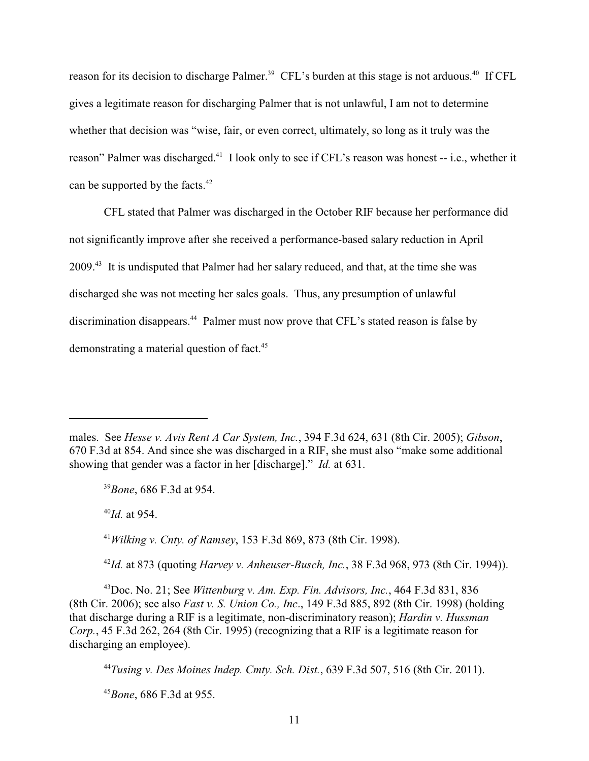reason for its decision to discharge Palmer.<sup>39</sup> CFL's burden at this stage is not arduous.<sup>40</sup> If CFL gives a legitimate reason for discharging Palmer that is not unlawful, I am not to determine whether that decision was "wise, fair, or even correct, ultimately, so long as it truly was the reason" Palmer was discharged.<sup>41</sup> I look only to see if CFL's reason was honest -- i.e., whether it can be supported by the facts.<sup>42</sup>

CFL stated that Palmer was discharged in the October RIF because her performance did not significantly improve after she received a performance-based salary reduction in April 2009.<sup>43</sup> It is undisputed that Palmer had her salary reduced, and that, at the time she was discharged she was not meeting her sales goals. Thus, any presumption of unlawful discrimination disappears.<sup>44</sup> Palmer must now prove that CFL's stated reason is false by demonstrating a material question of fact.<sup>45</sup>

<sup>39</sup> Bone, 686 F.3d at 954.

 $^{40}$ *Id.* at 954.

*Wilking v. Cnty. of Ramsey*, 153 F.3d 869, 873 (8th Cir. 1998). <sup>41</sup>

<sup>42</sup>*Id.* at 873 (quoting *Harvey v. Anheuser-Busch, Inc.*, 38 F.3d 968, 973 (8th Cir. 1994)).

 $^{43}$ Doc. No. 21; See *Wittenburg v. Am. Exp. Fin. Advisors, Inc.*, 464 F.3d 831, 836 (8th Cir. 2006); see also *Fast v. S. Union Co., Inc*., 149 F.3d 885, 892 (8th Cir. 1998) (holding that discharge during a RIF is a legitimate, non-discriminatory reason); *Hardin v. Hussman Corp.*, 45 F.3d 262, 264 (8th Cir. 1995) (recognizing that a RIF is a legitimate reason for discharging an employee).

*Tusing v. Des Moines Indep. Cmty. Sch. Dist.*, 639 F.3d 507, 516 (8th Cir. 2011). <sup>44</sup>

<sup>45</sup> Bone, 686 F.3d at 955.

males. See *Hesse v. Avis Rent A Car System, Inc.*, 394 F.3d 624, 631 (8th Cir. 2005); *Gibson*, 670 F.3d at 854. And since she was discharged in a RIF, she must also "make some additional showing that gender was a factor in her [discharge]." *Id.* at 631.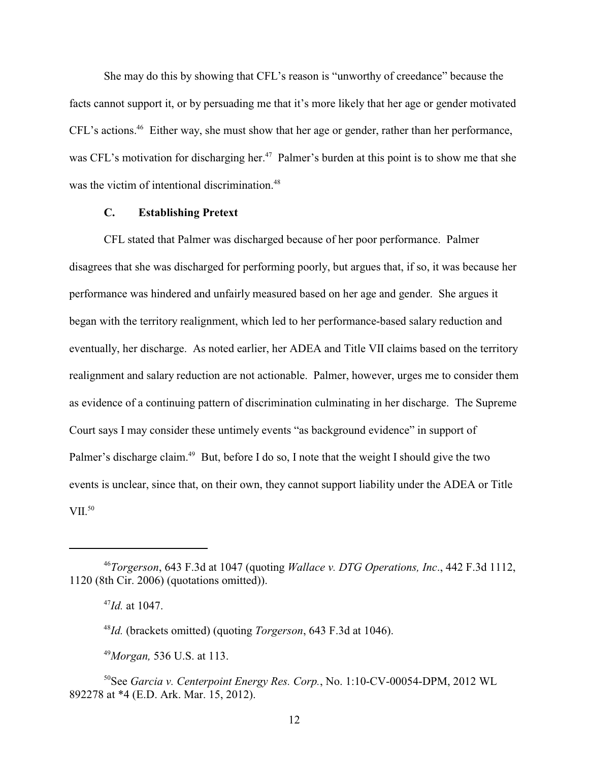She may do this by showing that CFL's reason is "unworthy of creedance" because the facts cannot support it, or by persuading me that it's more likely that her age or gender motivated CFL's actions.<sup>46</sup> Either way, she must show that her age or gender, rather than her performance, was CFL's motivation for discharging her.<sup>47</sup> Palmer's burden at this point is to show me that she was the victim of intentional discrimination.<sup>48</sup>

## **C. Establishing Pretext**

CFL stated that Palmer was discharged because of her poor performance. Palmer disagrees that she was discharged for performing poorly, but argues that, if so, it was because her performance was hindered and unfairly measured based on her age and gender. She argues it began with the territory realignment, which led to her performance-based salary reduction and eventually, her discharge. As noted earlier, her ADEA and Title VII claims based on the territory realignment and salary reduction are not actionable. Palmer, however, urges me to consider them as evidence of a continuing pattern of discrimination culminating in her discharge. The Supreme Court says I may consider these untimely events "as background evidence" in support of Palmer's discharge claim.<sup>49</sup> But, before I do so, I note that the weight I should give the two events is unclear, since that, on their own, they cannot support liability under the ADEA or Title VII.<sup>50</sup>

*Torgerson*, 643 F.3d at 1047 (quoting *Wallace v. DTG Operations, Inc*., 442 F.3d 1112, <sup>46</sup> 1120 (8th Cir. 2006) (quotations omitted)).

 $^{47}$ *Id.* at 1047.

<sup>&</sup>lt;sup>48</sup>*Id.* (brackets omitted) (quoting *Torgerson*, 643 F.3d at 1046).

*Morgan,* 536 U.S. at 113. <sup>49</sup>

See *Garcia v. Centerpoint Energy Res. Corp.*, No. 1:10-CV-00054-DPM, 2012 WL 50 892278 at \*4 (E.D. Ark. Mar. 15, 2012).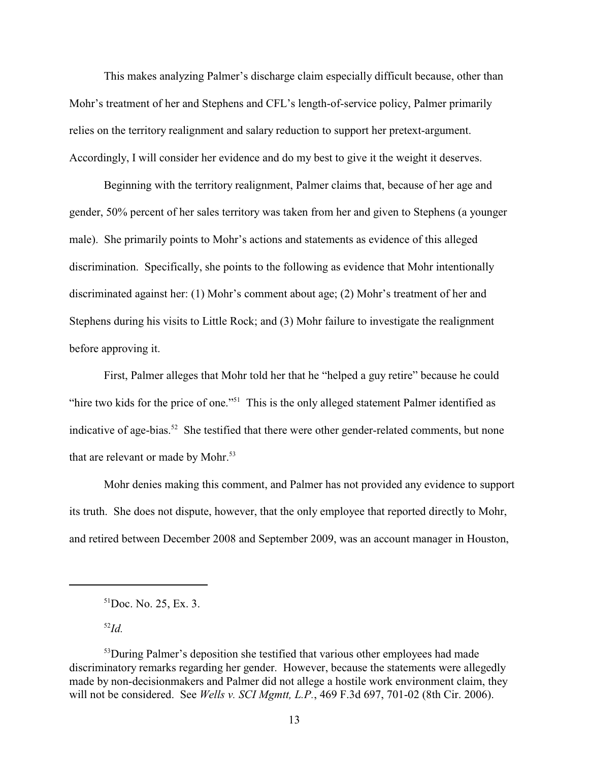This makes analyzing Palmer's discharge claim especially difficult because, other than Mohr's treatment of her and Stephens and CFL's length-of-service policy, Palmer primarily relies on the territory realignment and salary reduction to support her pretext-argument. Accordingly, I will consider her evidence and do my best to give it the weight it deserves.

Beginning with the territory realignment, Palmer claims that, because of her age and gender, 50% percent of her sales territory was taken from her and given to Stephens (a younger male). She primarily points to Mohr's actions and statements as evidence of this alleged discrimination. Specifically, she points to the following as evidence that Mohr intentionally discriminated against her: (1) Mohr's comment about age; (2) Mohr's treatment of her and Stephens during his visits to Little Rock; and (3) Mohr failure to investigate the realignment before approving it.

First, Palmer alleges that Mohr told her that he "helped a guy retire" because he could "hire two kids for the price of one."<sup>51</sup> This is the only alleged statement Palmer identified as indicative of age-bias.<sup>52</sup> She testified that there were other gender-related comments, but none that are relevant or made by Mohr.<sup>53</sup>

Mohr denies making this comment, and Palmer has not provided any evidence to support its truth. She does not dispute, however, that the only employee that reported directly to Mohr, and retired between December 2008 and September 2009, was an account manager in Houston,

 $^{52}Id$ .

 ${}^{51}$ Doc. No. 25, Ex. 3.

 $53$ During Palmer's deposition she testified that various other employees had made discriminatory remarks regarding her gender. However, because the statements were allegedly made by non-decisionmakers and Palmer did not allege a hostile work environment claim, they will not be considered. See *Wells v. SCI Mgmtt, L.P.*, 469 F.3d 697, 701-02 (8th Cir. 2006).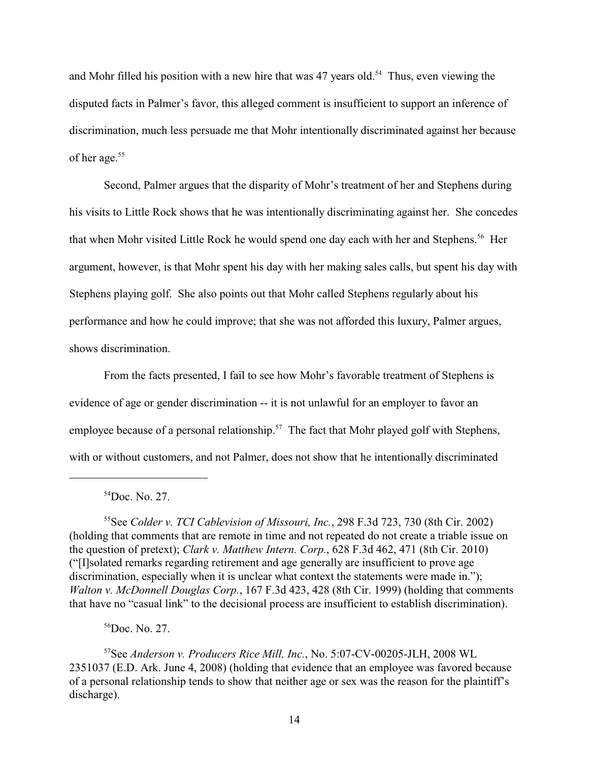and Mohr filled his position with a new hire that was  $47$  years old.<sup>54</sup> Thus, even viewing the disputed facts in Palmer's favor, this alleged comment is insufficient to support an inference of discrimination, much less persuade me that Mohr intentionally discriminated against her because of her age.<sup>55</sup>

Second, Palmer argues that the disparity of Mohr's treatment of her and Stephens during his visits to Little Rock shows that he was intentionally discriminating against her. She concedes that when Mohr visited Little Rock he would spend one day each with her and Stephens.<sup>56</sup> Her argument, however, is that Mohr spent his day with her making sales calls, but spent his day with Stephens playing golf. She also points out that Mohr called Stephens regularly about his performance and how he could improve; that she was not afforded this luxury, Palmer argues, shows discrimination.

From the facts presented, I fail to see how Mohr's favorable treatment of Stephens is evidence of age or gender discrimination -- it is not unlawful for an employer to favor an employee because of a personal relationship.<sup>57</sup> The fact that Mohr played golf with Stephens, with or without customers, and not Palmer, does not show that he intentionally discriminated

 $54$ Doc. No. 27.

<sup>55</sup>See *Colder v. TCI Cablevision of Missouri, Inc.*, 298 F.3d 723, 730 (8th Cir. 2002) (holding that comments that are remote in time and not repeated do not create a triable issue on the question of pretext); *Clark v. Matthew Intern. Corp.*, 628 F.3d 462, 471 (8th Cir. 2010) ("[I]solated remarks regarding retirement and age generally are insufficient to prove age discrimination, especially when it is unclear what context the statements were made in."): *Walton v. McDonnell Douglas Corp.*, 167 F.3d 423, 428 (8th Cir. 1999) (holding that comments that have no "casual link" to the decisional process are insufficient to establish discrimination).

 $56$ Doc. No. 27.

<sup>&</sup>lt;sup>57</sup>See *Anderson v. Producers Rice Mill, Inc.*, No. 5:07-CV-00205-JLH, 2008 WL 2351037 (E.D. Ark. June 4, 2008) (holding that evidence that an employee was favored because of a personal relationship tends to show that neither age or sex was the reason for the plaintiff's discharge).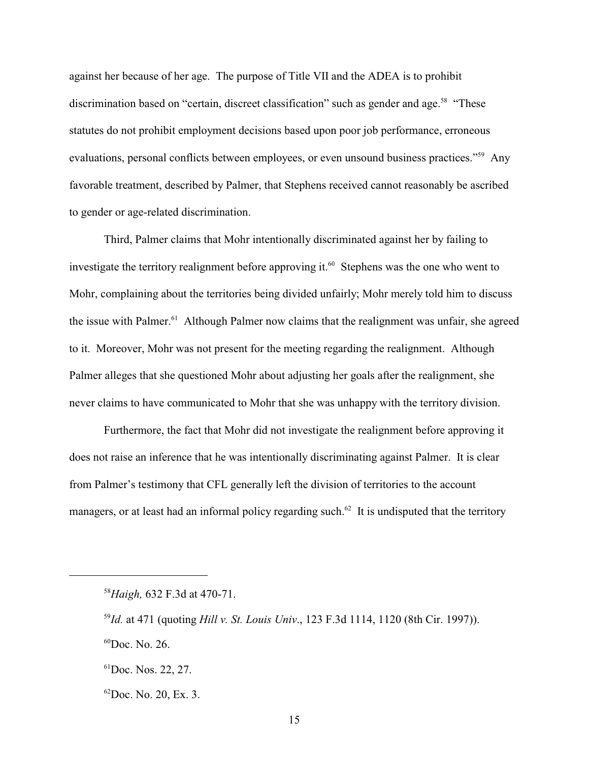against her because of her age. The purpose of Title VII and the ADEA is to prohibit discrimination based on "certain, discreet classification" such as gender and age.<sup>58</sup> "These statutes do not prohibit employment decisions based upon poor job performance, erroneous evaluations, personal conflicts between employees, or even unsound business practices."<sup>59</sup> Any favorable treatment, described by Palmer, that Stephens received cannot reasonably be ascribed to gender or age-related discrimination.

Third, Palmer claims that Mohr intentionally discriminated against her by failing to investigate the territory realignment before approving it.<sup>60</sup> Stephens was the one who went to Mohr, complaining about the territories being divided unfairly; Mohr merely told him to discuss the issue with Palmer.<sup>61</sup> Although Palmer now claims that the realignment was unfair, she agreed to it. Moreover, Mohr was not present for the meeting regarding the realignment. Although Palmer alleges that she questioned Mohr about adjusting her goals after the realignment, she never claims to have communicated to Mohr that she was unhappy with the territory division.

Furthermore, the fact that Mohr did not investigate the realignment before approving it does not raise an inference that he was intentionally discriminating against Palmer. It is clear from Palmer's testimony that CFL generally left the division of territories to the account managers, or at least had an informal policy regarding such. $62$  It is undisputed that the territory

<sup>&</sup>lt;sup>58</sup>Haigh, 632 F.3d at 470-71.

<sup>&</sup>lt;sup>59</sup>*Id.* at 471 (quoting *Hill v. St. Louis Univ.*, 123 F.3d 1114, 1120 (8th Cir. 1997)).

 ${}^{60}$ Doc. No. 26.

 ${}^{61}$ Doc. Nos. 22, 27.

 ${}^{62}$ Doc. No. 20, Ex. 3.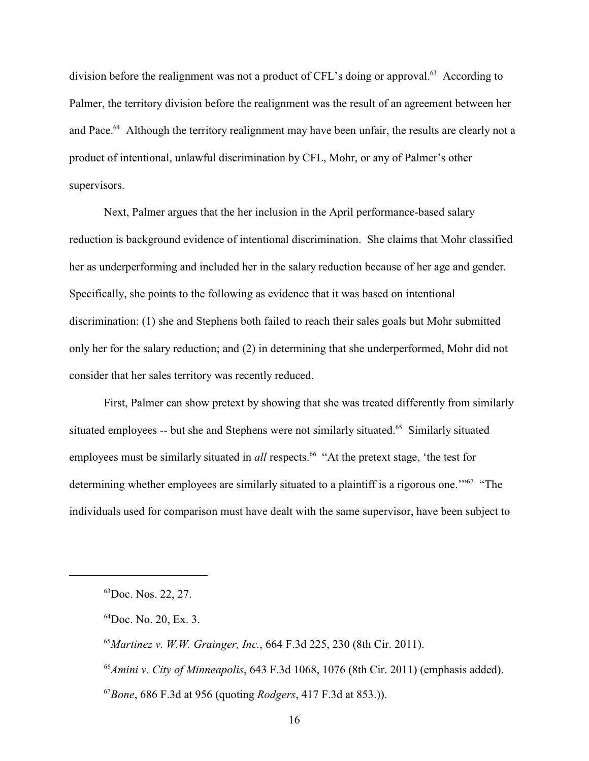division before the realignment was not a product of CFL's doing or approval.<sup> $63$ </sup> According to Palmer, the territory division before the realignment was the result of an agreement between her and Pace.<sup>64</sup> Although the territory realignment may have been unfair, the results are clearly not a product of intentional, unlawful discrimination by CFL, Mohr, or any of Palmer's other supervisors.

Next, Palmer argues that the her inclusion in the April performance-based salary reduction is background evidence of intentional discrimination. She claims that Mohr classified her as underperforming and included her in the salary reduction because of her age and gender. Specifically, she points to the following as evidence that it was based on intentional discrimination: (1) she and Stephens both failed to reach their sales goals but Mohr submitted only her for the salary reduction; and (2) in determining that she underperformed, Mohr did not consider that her sales territory was recently reduced.

First, Palmer can show pretext by showing that she was treated differently from similarly situated employees -- but she and Stephens were not similarly situated.<sup>65</sup> Similarly situated employees must be similarly situated in *all* respects.<sup>66</sup> "At the pretext stage, 'the test for determining whether employees are similarly situated to a plaintiff is a rigorous one."<sup>67</sup> "The individuals used for comparison must have dealt with the same supervisor, have been subject to

<sup>&</sup>lt;sup>63</sup>Doc. Nos. 22, 27.

 ${}^{64}$ Doc. No. 20, Ex. 3.

<sup>&</sup>lt;sup>65</sup> Martinez v. W.W. Grainger, Inc., 664 F.3d 225, 230 (8th Cir. 2011).

<sup>&</sup>lt;sup>66</sup> Amini v. City of Minneapolis, 643 F.3d 1068, 1076 (8th Cir. 2011) (emphasis added).

*Bone*, 686 F.3d at 956 (quoting *Rodgers*, 417 F.3d at 853.)). <sup>67</sup>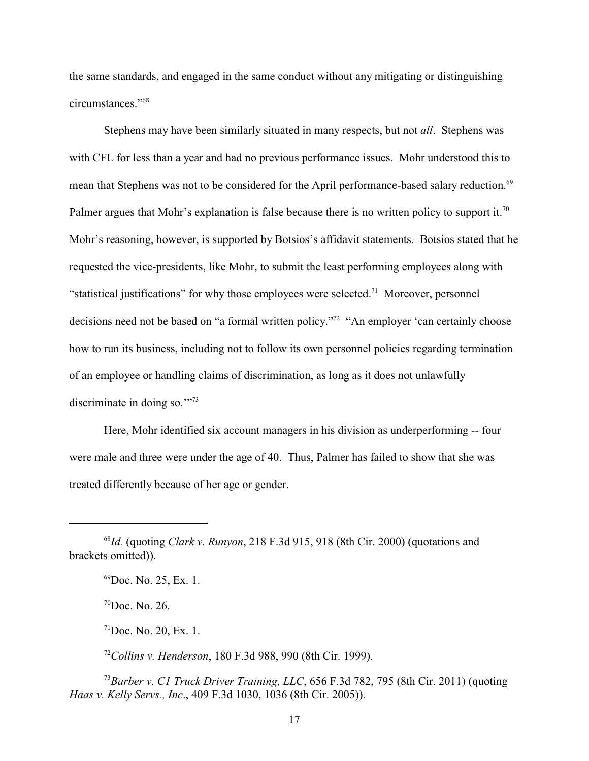the same standards, and engaged in the same conduct without any mitigating or distinguishing circumstances."<sup>68</sup>

Stephens may have been similarly situated in many respects, but not *all*. Stephens was with CFL for less than a year and had no previous performance issues. Mohr understood this to mean that Stephens was not to be considered for the April performance-based salary reduction.<sup>69</sup> Palmer argues that Mohr's explanation is false because there is no written policy to support it.<sup>70</sup> Mohr's reasoning, however, is supported by Botsios's affidavit statements. Botsios stated that he requested the vice-presidents, like Mohr, to submit the least performing employees along with "statistical justifications" for why those employees were selected.<sup>71</sup> Moreover, personnel decisions need not be based on "a formal written policy."<sup>72</sup> "An employer 'can certainly choose how to run its business, including not to follow its own personnel policies regarding termination of an employee or handling claims of discrimination, as long as it does not unlawfully discriminate in doing so."<sup>73</sup>

Here, Mohr identified six account managers in his division as underperforming -- four were male and three were under the age of 40. Thus, Palmer has failed to show that she was treated differently because of her age or gender.

 $\mathrm{^{70}Doc}$ . No. 26.

 $71$ Doc. No. 20, Ex. 1.

<sup>72</sup> Collins v. Henderson, 180 F.3d 988, 990 (8th Cir. 1999).

<sup>73</sup> Barber v. C1 Truck Driver Training, LLC, 656 F.3d 782, 795 (8th Cir. 2011) (quoting *Haas v. Kelly Servs., Inc*., 409 F.3d 1030, 1036 (8th Cir. 2005)).

 $^{68}$ Id. (quoting *Clark v. Runyon*, 218 F.3d 915, 918 (8th Cir. 2000) (quotations and brackets omitted)).

 $^{69}$ Doc. No. 25, Ex. 1.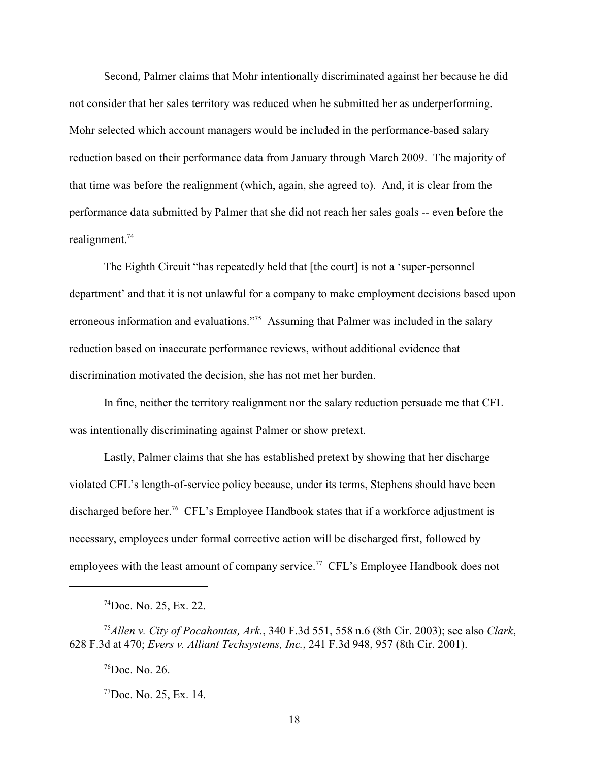Second, Palmer claims that Mohr intentionally discriminated against her because he did not consider that her sales territory was reduced when he submitted her as underperforming. Mohr selected which account managers would be included in the performance-based salary reduction based on their performance data from January through March 2009. The majority of that time was before the realignment (which, again, she agreed to). And, it is clear from the performance data submitted by Palmer that she did not reach her sales goals -- even before the realignment. 74

The Eighth Circuit "has repeatedly held that [the court] is not a 'super-personnel department' and that it is not unlawful for a company to make employment decisions based upon erroneous information and evaluations."<sup>75</sup> Assuming that Palmer was included in the salary reduction based on inaccurate performance reviews, without additional evidence that discrimination motivated the decision, she has not met her burden.

In fine, neither the territory realignment nor the salary reduction persuade me that CFL was intentionally discriminating against Palmer or show pretext.

Lastly, Palmer claims that she has established pretext by showing that her discharge violated CFL's length-of-service policy because, under its terms, Stephens should have been discharged before her.<sup>76</sup> CFL's Employee Handbook states that if a workforce adjustment is necessary, employees under formal corrective action will be discharged first, followed by employees with the least amount of company service.<sup>77</sup> CFL's Employee Handbook does not

 $^{76}$ Doc. No. 26.

 $^{77}$ Doc. No. 25, Ex. 14.

 $^{74}$ Doc. No. 25, Ex. 22.

*Allen v. City of Pocahontas, Ark.*, 340 F.3d 551, 558 n.6 (8th Cir. 2003); see also *Clark*, 75 628 F.3d at 470; *Evers v. Alliant Techsystems, Inc.*, 241 F.3d 948, 957 (8th Cir. 2001).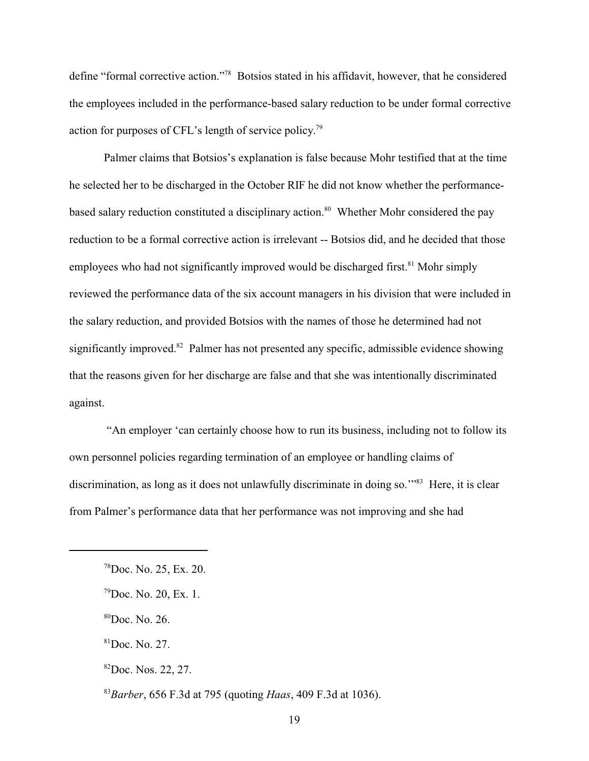define "formal corrective action."<sup>78</sup> Botsios stated in his affidavit, however, that he considered the employees included in the performance-based salary reduction to be under formal corrective action for purposes of CFL's length of service policy.<sup>79</sup>

Palmer claims that Botsios's explanation is false because Mohr testified that at the time he selected her to be discharged in the October RIF he did not know whether the performancebased salary reduction constituted a disciplinary action.<sup>80</sup> Whether Mohr considered the pay reduction to be a formal corrective action is irrelevant -- Botsios did, and he decided that those employees who had not significantly improved would be discharged first.<sup>81</sup> Mohr simply reviewed the performance data of the six account managers in his division that were included in the salary reduction, and provided Botsios with the names of those he determined had not significantly improved. <sup>82</sup> Palmer has not presented any specific, admissible evidence showing that the reasons given for her discharge are false and that she was intentionally discriminated against.

 "An employer 'can certainly choose how to run its business, including not to follow its own personnel policies regarding termination of an employee or handling claims of discrimination, as long as it does not unlawfully discriminate in doing so."<sup>83</sup> Here, it is clear from Palmer's performance data that her performance was not improving and she had

 $^{78}$ Doc. No. 25, Ex. 20.

 $^{79}$ Doc. No. 20, Ex. 1.

 ${}^{80}$ Doc. No. 26.

 ${}^{81}$ Doc. No. 27.

 ${}^{82}$ Doc. Nos. 22, 27.

*Barber*, 656 F.3d at 795 (quoting *Haas*, 409 F.3d at 1036). <sup>83</sup>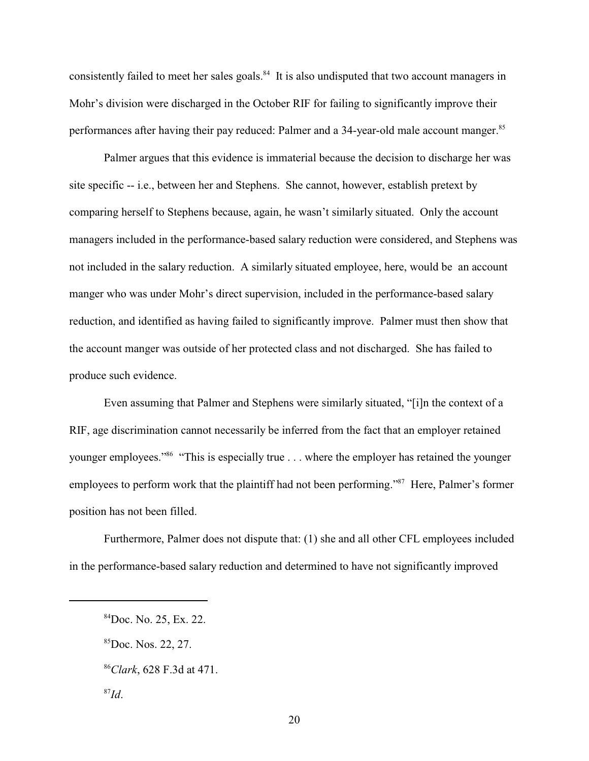consistently failed to meet her sales goals.<sup>84</sup> It is also undisputed that two account managers in Mohr's division were discharged in the October RIF for failing to significantly improve their performances after having their pay reduced: Palmer and a 34-year-old male account manger.<sup>85</sup>

Palmer argues that this evidence is immaterial because the decision to discharge her was site specific -- i.e., between her and Stephens. She cannot, however, establish pretext by comparing herself to Stephens because, again, he wasn't similarly situated. Only the account managers included in the performance-based salary reduction were considered, and Stephens was not included in the salary reduction. A similarly situated employee, here, would be an account manger who was under Mohr's direct supervision, included in the performance-based salary reduction, and identified as having failed to significantly improve. Palmer must then show that the account manger was outside of her protected class and not discharged. She has failed to produce such evidence.

Even assuming that Palmer and Stephens were similarly situated, "[i]n the context of a RIF, age discrimination cannot necessarily be inferred from the fact that an employer retained younger employees."<sup>86</sup> "This is especially true  $\dots$  where the employer has retained the younger employees to perform work that the plaintiff had not been performing." $87$  Here, Palmer's former position has not been filled.

Furthermore, Palmer does not dispute that: (1) she and all other CFL employees included in the performance-based salary reduction and determined to have not significantly improved

 ${}^{84}$ Doc. No. 25, Ex. 22.

 ${}^{85}$ Doc. Nos. 22, 27.

*Clark*, 628 F.3d at 471. <sup>86</sup>

<sup>&</sup>lt;sup>87</sup>Id.